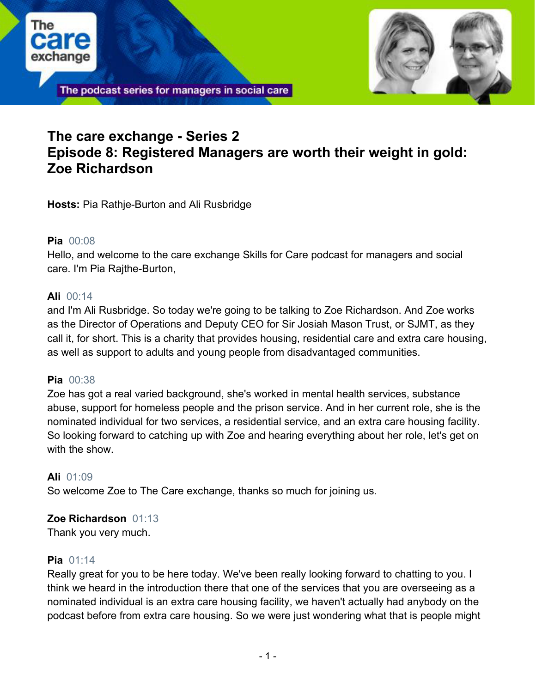



# **The care exchange - Series 2 Episode 8: Registered Managers are worth their weight in gold: Zoe Richardson**

**Hosts:** Pia Rathje-Burton and Ali Rusbridge

### **Pia** 00:08

Hello, and welcome to the care exchange Skills for Care podcast for managers and social care. I'm Pia Rajthe-Burton,

# **Ali** 00:14

and I'm Ali Rusbridge. So today we're going to be talking to Zoe Richardson. And Zoe works as the Director of Operations and Deputy CEO for Sir Josiah Mason Trust, or SJMT, as they call it, for short. This is a charity that provides housing, residential care and extra care housing, as well as support to adults and young people from disadvantaged communities.

### **Pia** 00:38

Zoe has got a real varied background, she's worked in mental health services, substance abuse, support for homeless people and the prison service. And in her current role, she is the nominated individual for two services, a residential service, and an extra care housing facility. So looking forward to catching up with Zoe and hearing everything about her role, let's get on with the show.

# **Ali** 01:09

So welcome Zoe to The Care exchange, thanks so much for joining us.

# **Zoe Richardson** 01:13

Thank you very much.

### **Pia** 01:14

Really great for you to be here today. We've been really looking forward to chatting to you. I think we heard in the introduction there that one of the services that you are overseeing as a nominated individual is an extra care housing facility, we haven't actually had anybody on the podcast before from extra care housing. So we were just wondering what that is people might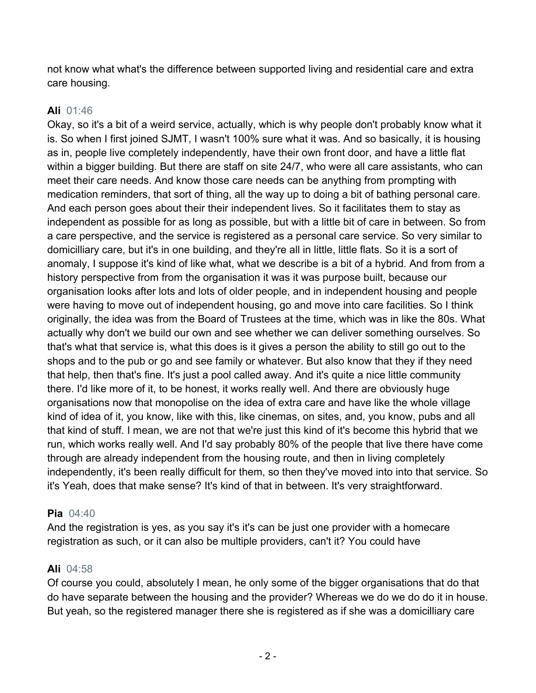not know what what's the difference between supported living and residential care and extra care housing.

# **Ali** 01:46

Okay, so it's a bit of a weird service, actually, which is why people don't probably know what it is. So when I first joined SJMT, I wasn't 100% sure what it was. And so basically, it is housing as in, people live completely independently, have their own front door, and have a little flat within a bigger building. But there are staff on site 24/7, who were all care assistants, who can meet their care needs. And know those care needs can be anything from prompting with medication reminders, that sort of thing, all the way up to doing a bit of bathing personal care. And each person goes about their their independent lives. So it facilitates them to stay as independent as possible for as long as possible, but with a little bit of care in between. So from a care perspective, and the service is registered as a personal care service. So very similar to domicilliary care, but it's in one building, and they're all in little, little flats. So it is a sort of anomaly, I suppose it's kind of like what, what we describe is a bit of a hybrid. And from from a history perspective from from the organisation it was it was purpose built, because our organisation looks after lots and lots of older people, and in independent housing and people were having to move out of independent housing, go and move into care facilities. So I think originally, the idea was from the Board of Trustees at the time, which was in like the 80s. What actually why don't we build our own and see whether we can deliver something ourselves. So that's what that service is, what this does is it gives a person the ability to still go out to the shops and to the pub or go and see family or whatever. But also know that they if they need that help, then that's fine. It's just a pool called away. And it's quite a nice little community there. I'd like more of it, to be honest, it works really well. And there are obviously huge organisations now that monopolise on the idea of extra care and have like the whole village kind of idea of it, you know, like with this, like cinemas, on sites, and, you know, pubs and all that kind of stuff. I mean, we are not that we're just this kind of it's become this hybrid that we run, which works really well. And I'd say probably 80% of the people that live there have come through are already independent from the housing route, and then in living completely independently, it's been really difficult for them, so then they've moved into into that service. So it's Yeah, does that make sense? It's kind of that in between. It's very straightforward.

# **Pia** 04:40

And the registration is yes, as you say it's it's can be just one provider with a homecare registration as such, or it can also be multiple providers, can't it? You could have

# **Ali** 04:58

Of course you could, absolutely I mean, he only some of the bigger organisations that do that do have separate between the housing and the provider? Whereas we do we do do it in house. But yeah, so the registered manager there she is registered as if she was a domicilliary care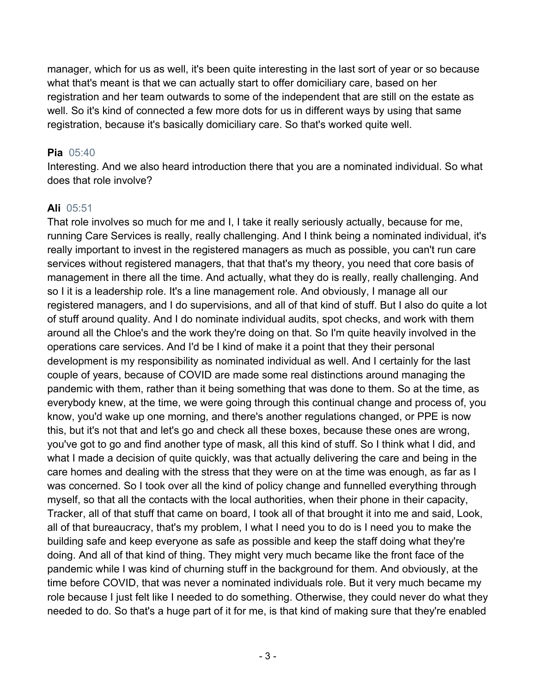manager, which for us as well, it's been quite interesting in the last sort of year or so because what that's meant is that we can actually start to offer domiciliary care, based on her registration and her team outwards to some of the independent that are still on the estate as well. So it's kind of connected a few more dots for us in different ways by using that same registration, because it's basically domiciliary care. So that's worked quite well.

#### **Pia** 05:40

Interesting. And we also heard introduction there that you are a nominated individual. So what does that role involve?

### **Ali** 05:51

That role involves so much for me and I, I take it really seriously actually, because for me, running Care Services is really, really challenging. And I think being a nominated individual, it's really important to invest in the registered managers as much as possible, you can't run care services without registered managers, that that that's my theory, you need that core basis of management in there all the time. And actually, what they do is really, really challenging. And so I it is a leadership role. It's a line management role. And obviously, I manage all our registered managers, and I do supervisions, and all of that kind of stuff. But I also do quite a lot of stuff around quality. And I do nominate individual audits, spot checks, and work with them around all the Chloe's and the work they're doing on that. So I'm quite heavily involved in the operations care services. And I'd be I kind of make it a point that they their personal development is my responsibility as nominated individual as well. And I certainly for the last couple of years, because of COVID are made some real distinctions around managing the pandemic with them, rather than it being something that was done to them. So at the time, as everybody knew, at the time, we were going through this continual change and process of, you know, you'd wake up one morning, and there's another regulations changed, or PPE is now this, but it's not that and let's go and check all these boxes, because these ones are wrong, you've got to go and find another type of mask, all this kind of stuff. So I think what I did, and what I made a decision of quite quickly, was that actually delivering the care and being in the care homes and dealing with the stress that they were on at the time was enough, as far as I was concerned. So I took over all the kind of policy change and funnelled everything through myself, so that all the contacts with the local authorities, when their phone in their capacity, Tracker, all of that stuff that came on board, I took all of that brought it into me and said, Look, all of that bureaucracy, that's my problem, I what I need you to do is I need you to make the building safe and keep everyone as safe as possible and keep the staff doing what they're doing. And all of that kind of thing. They might very much became like the front face of the pandemic while I was kind of churning stuff in the background for them. And obviously, at the time before COVID, that was never a nominated individuals role. But it very much became my role because I just felt like I needed to do something. Otherwise, they could never do what they needed to do. So that's a huge part of it for me, is that kind of making sure that they're enabled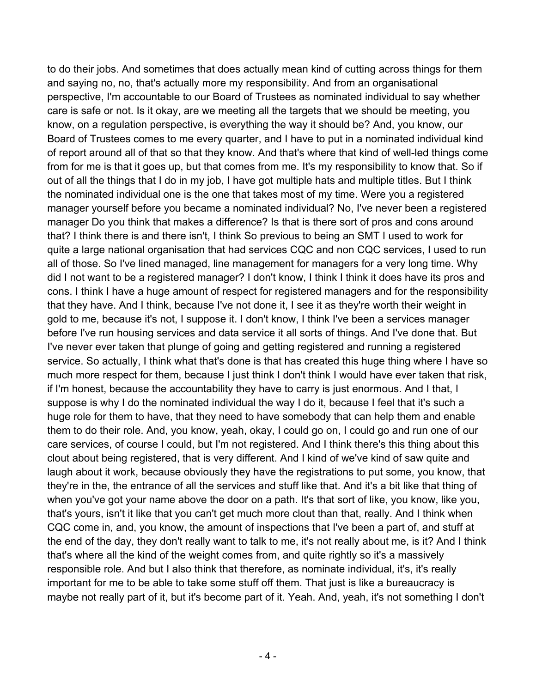to do their jobs. And sometimes that does actually mean kind of cutting across things for them and saying no, no, that's actually more my responsibility. And from an organisational perspective, I'm accountable to our Board of Trustees as nominated individual to say whether care is safe or not. Is it okay, are we meeting all the targets that we should be meeting, you know, on a regulation perspective, is everything the way it should be? And, you know, our Board of Trustees comes to me every quarter, and I have to put in a nominated individual kind of report around all of that so that they know. And that's where that kind of well-led things come from for me is that it goes up, but that comes from me. It's my responsibility to know that. So if out of all the things that I do in my job, I have got multiple hats and multiple titles. But I think the nominated individual one is the one that takes most of my time. Were you a registered manager yourself before you became a nominated individual? No, I've never been a registered manager Do you think that makes a difference? Is that is there sort of pros and cons around that? I think there is and there isn't, I think So previous to being an SMT I used to work for quite a large national organisation that had services CQC and non CQC services, I used to run all of those. So I've lined managed, line management for managers for a very long time. Why did I not want to be a registered manager? I don't know, I think I think it does have its pros and cons. I think I have a huge amount of respect for registered managers and for the responsibility that they have. And I think, because I've not done it, I see it as they're worth their weight in gold to me, because it's not, I suppose it. I don't know, I think I've been a services manager before I've run housing services and data service it all sorts of things. And I've done that. But I've never ever taken that plunge of going and getting registered and running a registered service. So actually, I think what that's done is that has created this huge thing where I have so much more respect for them, because I just think I don't think I would have ever taken that risk, if I'm honest, because the accountability they have to carry is just enormous. And I that, I suppose is why I do the nominated individual the way I do it, because I feel that it's such a huge role for them to have, that they need to have somebody that can help them and enable them to do their role. And, you know, yeah, okay, I could go on, I could go and run one of our care services, of course I could, but I'm not registered. And I think there's this thing about this clout about being registered, that is very different. And I kind of we've kind of saw quite and laugh about it work, because obviously they have the registrations to put some, you know, that they're in the, the entrance of all the services and stuff like that. And it's a bit like that thing of when you've got your name above the door on a path. It's that sort of like, you know, like you, that's yours, isn't it like that you can't get much more clout than that, really. And I think when CQC come in, and, you know, the amount of inspections that I've been a part of, and stuff at the end of the day, they don't really want to talk to me, it's not really about me, is it? And I think that's where all the kind of the weight comes from, and quite rightly so it's a massively responsible role. And but I also think that therefore, as nominate individual, it's, it's really important for me to be able to take some stuff off them. That just is like a bureaucracy is maybe not really part of it, but it's become part of it. Yeah. And, yeah, it's not something I don't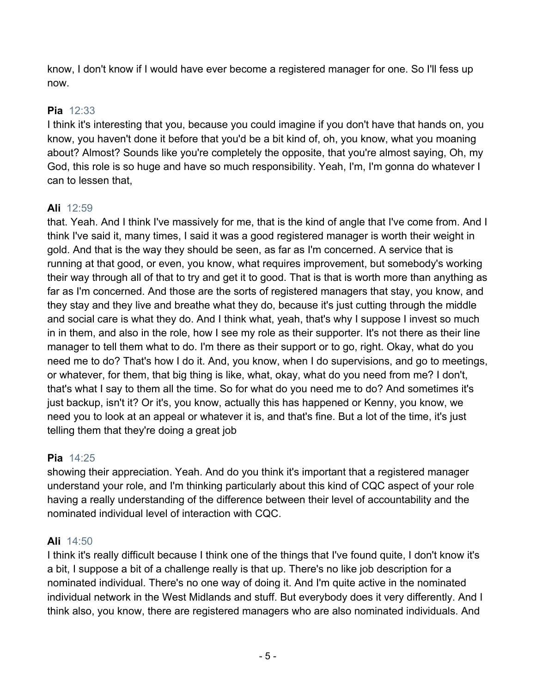know, I don't know if I would have ever become a registered manager for one. So I'll fess up now.

# **Pia** 12:33

I think it's interesting that you, because you could imagine if you don't have that hands on, you know, you haven't done it before that you'd be a bit kind of, oh, you know, what you moaning about? Almost? Sounds like you're completely the opposite, that you're almost saying, Oh, my God, this role is so huge and have so much responsibility. Yeah, I'm, I'm gonna do whatever I can to lessen that,

# **Ali** 12:59

that. Yeah. And I think I've massively for me, that is the kind of angle that I've come from. And I think I've said it, many times, I said it was a good registered manager is worth their weight in gold. And that is the way they should be seen, as far as I'm concerned. A service that is running at that good, or even, you know, what requires improvement, but somebody's working their way through all of that to try and get it to good. That is that is worth more than anything as far as I'm concerned. And those are the sorts of registered managers that stay, you know, and they stay and they live and breathe what they do, because it's just cutting through the middle and social care is what they do. And I think what, yeah, that's why I suppose I invest so much in in them, and also in the role, how I see my role as their supporter. It's not there as their line manager to tell them what to do. I'm there as their support or to go, right. Okay, what do you need me to do? That's how I do it. And, you know, when I do supervisions, and go to meetings, or whatever, for them, that big thing is like, what, okay, what do you need from me? I don't, that's what I say to them all the time. So for what do you need me to do? And sometimes it's just backup, isn't it? Or it's, you know, actually this has happened or Kenny, you know, we need you to look at an appeal or whatever it is, and that's fine. But a lot of the time, it's just telling them that they're doing a great job

# **Pia** 14:25

showing their appreciation. Yeah. And do you think it's important that a registered manager understand your role, and I'm thinking particularly about this kind of CQC aspect of your role having a really understanding of the difference between their level of accountability and the nominated individual level of interaction with CQC.

# **Ali** 14:50

I think it's really difficult because I think one of the things that I've found quite, I don't know it's a bit, I suppose a bit of a challenge really is that up. There's no like job description for a nominated individual. There's no one way of doing it. And I'm quite active in the nominated individual network in the West Midlands and stuff. But everybody does it very differently. And I think also, you know, there are registered managers who are also nominated individuals. And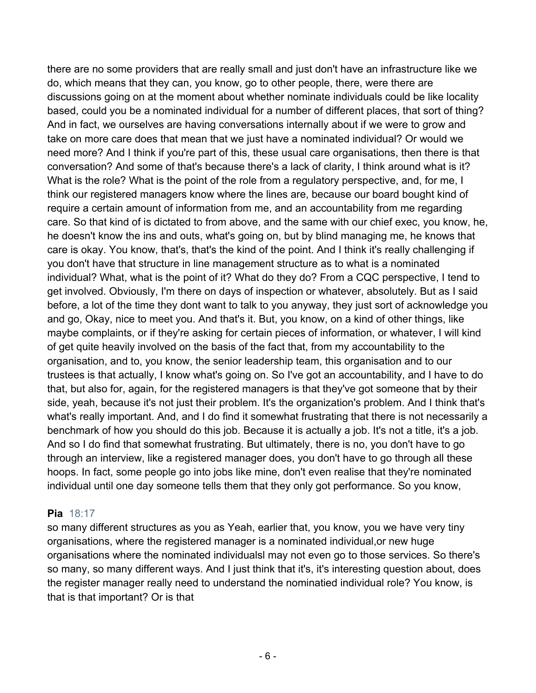there are no some providers that are really small and just don't have an infrastructure like we do, which means that they can, you know, go to other people, there, were there are discussions going on at the moment about whether nominate individuals could be like locality based, could you be a nominated individual for a number of different places, that sort of thing? And in fact, we ourselves are having conversations internally about if we were to grow and take on more care does that mean that we just have a nominated individual? Or would we need more? And I think if you're part of this, these usual care organisations, then there is that conversation? And some of that's because there's a lack of clarity, I think around what is it? What is the role? What is the point of the role from a regulatory perspective, and, for me, I think our registered managers know where the lines are, because our board bought kind of require a certain amount of information from me, and an accountability from me regarding care. So that kind of is dictated to from above, and the same with our chief exec, you know, he, he doesn't know the ins and outs, what's going on, but by blind managing me, he knows that care is okay. You know, that's, that's the kind of the point. And I think it's really challenging if you don't have that structure in line management structure as to what is a nominated individual? What, what is the point of it? What do they do? From a CQC perspective, I tend to get involved. Obviously, I'm there on days of inspection or whatever, absolutely. But as I said before, a lot of the time they dont want to talk to you anyway, they just sort of acknowledge you and go, Okay, nice to meet you. And that's it. But, you know, on a kind of other things, like maybe complaints, or if they're asking for certain pieces of information, or whatever, I will kind of get quite heavily involved on the basis of the fact that, from my accountability to the organisation, and to, you know, the senior leadership team, this organisation and to our trustees is that actually, I know what's going on. So I've got an accountability, and I have to do that, but also for, again, for the registered managers is that they've got someone that by their side, yeah, because it's not just their problem. It's the organization's problem. And I think that's what's really important. And, and I do find it somewhat frustrating that there is not necessarily a benchmark of how you should do this job. Because it is actually a job. It's not a title, it's a job. And so I do find that somewhat frustrating. But ultimately, there is no, you don't have to go through an interview, like a registered manager does, you don't have to go through all these hoops. In fact, some people go into jobs like mine, don't even realise that they're nominated individual until one day someone tells them that they only got performance. So you know,

### **Pia** 18:17

so many different structures as you as Yeah, earlier that, you know, you we have very tiny organisations, where the registered manager is a nominated individual,or new huge organisations where the nominated individualsl may not even go to those services. So there's so many, so many different ways. And I just think that it's, it's interesting question about, does the register manager really need to understand the nominatied individual role? You know, is that is that important? Or is that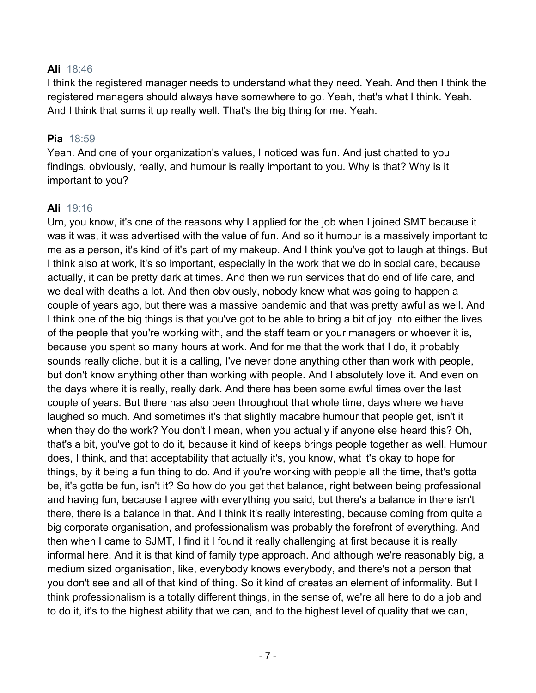#### **Ali** 18:46

I think the registered manager needs to understand what they need. Yeah. And then I think the registered managers should always have somewhere to go. Yeah, that's what I think. Yeah. And I think that sums it up really well. That's the big thing for me. Yeah.

#### **Pia** 18:59

Yeah. And one of your organization's values, I noticed was fun. And just chatted to you findings, obviously, really, and humour is really important to you. Why is that? Why is it important to you?

#### **Ali** 19:16

Um, you know, it's one of the reasons why I applied for the job when I joined SMT because it was it was, it was advertised with the value of fun. And so it humour is a massively important to me as a person, it's kind of it's part of my makeup. And I think you've got to laugh at things. But I think also at work, it's so important, especially in the work that we do in social care, because actually, it can be pretty dark at times. And then we run services that do end of life care, and we deal with deaths a lot. And then obviously, nobody knew what was going to happen a couple of years ago, but there was a massive pandemic and that was pretty awful as well. And I think one of the big things is that you've got to be able to bring a bit of joy into either the lives of the people that you're working with, and the staff team or your managers or whoever it is, because you spent so many hours at work. And for me that the work that I do, it probably sounds really cliche, but it is a calling, I've never done anything other than work with people, but don't know anything other than working with people. And I absolutely love it. And even on the days where it is really, really dark. And there has been some awful times over the last couple of years. But there has also been throughout that whole time, days where we have laughed so much. And sometimes it's that slightly macabre humour that people get, isn't it when they do the work? You don't I mean, when you actually if anyone else heard this? Oh, that's a bit, you've got to do it, because it kind of keeps brings people together as well. Humour does, I think, and that acceptability that actually it's, you know, what it's okay to hope for things, by it being a fun thing to do. And if you're working with people all the time, that's gotta be, it's gotta be fun, isn't it? So how do you get that balance, right between being professional and having fun, because I agree with everything you said, but there's a balance in there isn't there, there is a balance in that. And I think it's really interesting, because coming from quite a big corporate organisation, and professionalism was probably the forefront of everything. And then when I came to SJMT, I find it I found it really challenging at first because it is really informal here. And it is that kind of family type approach. And although we're reasonably big, a medium sized organisation, like, everybody knows everybody, and there's not a person that you don't see and all of that kind of thing. So it kind of creates an element of informality. But I think professionalism is a totally different things, in the sense of, we're all here to do a job and to do it, it's to the highest ability that we can, and to the highest level of quality that we can,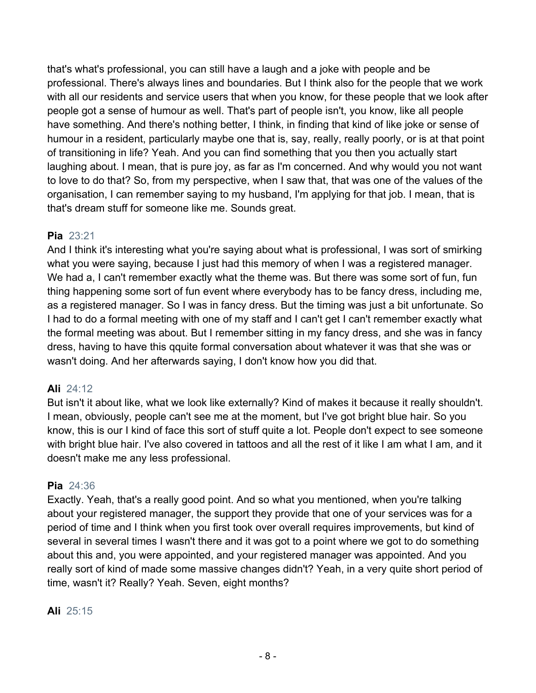that's what's professional, you can still have a laugh and a joke with people and be professional. There's always lines and boundaries. But I think also for the people that we work with all our residents and service users that when you know, for these people that we look after people got a sense of humour as well. That's part of people isn't, you know, like all people have something. And there's nothing better, I think, in finding that kind of like joke or sense of humour in a resident, particularly maybe one that is, say, really, really poorly, or is at that point of transitioning in life? Yeah. And you can find something that you then you actually start laughing about. I mean, that is pure joy, as far as I'm concerned. And why would you not want to love to do that? So, from my perspective, when I saw that, that was one of the values of the organisation, I can remember saying to my husband, I'm applying for that job. I mean, that is that's dream stuff for someone like me. Sounds great.

### **Pia** 23:21

And I think it's interesting what you're saying about what is professional, I was sort of smirking what you were saying, because I just had this memory of when I was a registered manager. We had a, I can't remember exactly what the theme was. But there was some sort of fun, fun thing happening some sort of fun event where everybody has to be fancy dress, including me, as a registered manager. So I was in fancy dress. But the timing was just a bit unfortunate. So I had to do a formal meeting with one of my staff and I can't get I can't remember exactly what the formal meeting was about. But I remember sitting in my fancy dress, and she was in fancy dress, having to have this qquite formal conversation about whatever it was that she was or wasn't doing. And her afterwards saying, I don't know how you did that.

# **Ali** 24:12

But isn't it about like, what we look like externally? Kind of makes it because it really shouldn't. I mean, obviously, people can't see me at the moment, but I've got bright blue hair. So you know, this is our I kind of face this sort of stuff quite a lot. People don't expect to see someone with bright blue hair. I've also covered in tattoos and all the rest of it like I am what I am, and it doesn't make me any less professional.

# **Pia** 24:36

Exactly. Yeah, that's a really good point. And so what you mentioned, when you're talking about your registered manager, the support they provide that one of your services was for a period of time and I think when you first took over overall requires improvements, but kind of several in several times I wasn't there and it was got to a point where we got to do something about this and, you were appointed, and your registered manager was appointed. And you really sort of kind of made some massive changes didn't? Yeah, in a very quite short period of time, wasn't it? Really? Yeah. Seven, eight months?

# **Ali** 25:15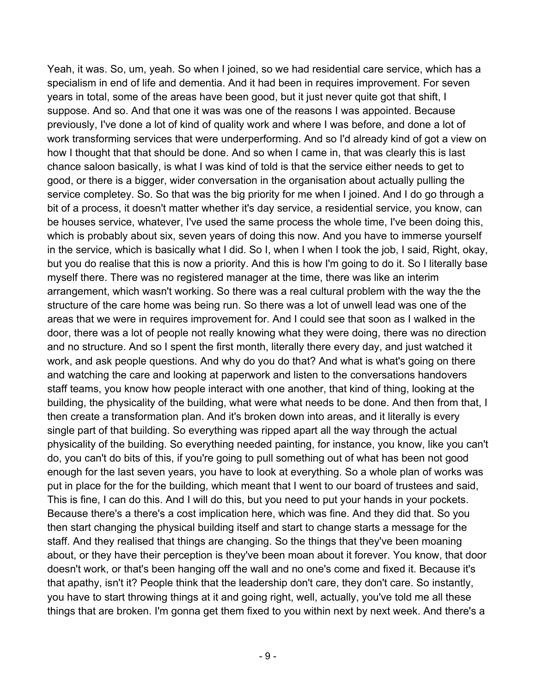Yeah, it was. So, um, yeah. So when I joined, so we had residential care service, which has a specialism in end of life and dementia. And it had been in requires improvement. For seven years in total, some of the areas have been good, but it just never quite got that shift, I suppose. And so. And that one it was was one of the reasons I was appointed. Because previously, I've done a lot of kind of quality work and where I was before, and done a lot of work transforming services that were underperforming. And so I'd already kind of got a view on how I thought that that should be done. And so when I came in, that was clearly this is last chance saloon basically, is what I was kind of told is that the service either needs to get to good, or there is a bigger, wider conversation in the organisation about actually pulling the service completey. So. So that was the big priority for me when I joined. And I do go through a bit of a process, it doesn't matter whether it's day service, a residential service, you know, can be houses service, whatever, I've used the same process the whole time, I've been doing this, which is probably about six, seven years of doing this now. And you have to immerse yourself in the service, which is basically what I did. So I, when I when I took the job, I said, Right, okay, but you do realise that this is now a priority. And this is how I'm going to do it. So I literally base myself there. There was no registered manager at the time, there was like an interim arrangement, which wasn't working. So there was a real cultural problem with the way the the structure of the care home was being run. So there was a lot of unwell lead was one of the areas that we were in requires improvement for. And I could see that soon as I walked in the door, there was a lot of people not really knowing what they were doing, there was no direction and no structure. And so I spent the first month, literally there every day, and just watched it work, and ask people questions. And why do you do that? And what is what's going on there and watching the care and looking at paperwork and listen to the conversations handovers staff teams, you know how people interact with one another, that kind of thing, looking at the building, the physicality of the building, what were what needs to be done. And then from that, I then create a transformation plan. And it's broken down into areas, and it literally is every single part of that building. So everything was ripped apart all the way through the actual physicality of the building. So everything needed painting, for instance, you know, like you can't do, you can't do bits of this, if you're going to pull something out of what has been not good enough for the last seven years, you have to look at everything. So a whole plan of works was put in place for the for the building, which meant that I went to our board of trustees and said, This is fine, I can do this. And I will do this, but you need to put your hands in your pockets. Because there's a there's a cost implication here, which was fine. And they did that. So you then start changing the physical building itself and start to change starts a message for the staff. And they realised that things are changing. So the things that they've been moaning about, or they have their perception is they've been moan about it forever. You know, that door doesn't work, or that's been hanging off the wall and no one's come and fixed it. Because it's that apathy, isn't it? People think that the leadership don't care, they don't care. So instantly, you have to start throwing things at it and going right, well, actually, you've told me all these things that are broken. I'm gonna get them fixed to you within next by next week. And there's a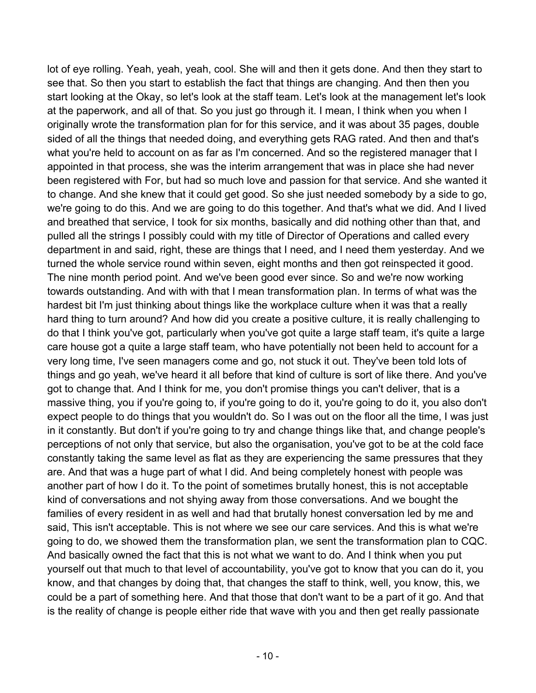lot of eye rolling. Yeah, yeah, yeah, cool. She will and then it gets done. And then they start to see that. So then you start to establish the fact that things are changing. And then then you start looking at the Okay, so let's look at the staff team. Let's look at the management let's look at the paperwork, and all of that. So you just go through it. I mean, I think when you when I originally wrote the transformation plan for for this service, and it was about 35 pages, double sided of all the things that needed doing, and everything gets RAG rated. And then and that's what you're held to account on as far as I'm concerned. And so the registered manager that I appointed in that process, she was the interim arrangement that was in place she had never been registered with For, but had so much love and passion for that service. And she wanted it to change. And she knew that it could get good. So she just needed somebody by a side to go, we're going to do this. And we are going to do this together. And that's what we did. And I lived and breathed that service, I took for six months, basically and did nothing other than that, and pulled all the strings I possibly could with my title of Director of Operations and called every department in and said, right, these are things that I need, and I need them yesterday. And we turned the whole service round within seven, eight months and then got reinspected it good. The nine month period point. And we've been good ever since. So and we're now working towards outstanding. And with with that I mean transformation plan. In terms of what was the hardest bit I'm just thinking about things like the workplace culture when it was that a really hard thing to turn around? And how did you create a positive culture, it is really challenging to do that I think you've got, particularly when you've got quite a large staff team, it's quite a large care house got a quite a large staff team, who have potentially not been held to account for a very long time, I've seen managers come and go, not stuck it out. They've been told lots of things and go yeah, we've heard it all before that kind of culture is sort of like there. And you've got to change that. And I think for me, you don't promise things you can't deliver, that is a massive thing, you if you're going to, if you're going to do it, you're going to do it, you also don't expect people to do things that you wouldn't do. So I was out on the floor all the time, I was just in it constantly. But don't if you're going to try and change things like that, and change people's perceptions of not only that service, but also the organisation, you've got to be at the cold face constantly taking the same level as flat as they are experiencing the same pressures that they are. And that was a huge part of what I did. And being completely honest with people was another part of how I do it. To the point of sometimes brutally honest, this is not acceptable kind of conversations and not shying away from those conversations. And we bought the families of every resident in as well and had that brutally honest conversation led by me and said, This isn't acceptable. This is not where we see our care services. And this is what we're going to do, we showed them the transformation plan, we sent the transformation plan to CQC. And basically owned the fact that this is not what we want to do. And I think when you put yourself out that much to that level of accountability, you've got to know that you can do it, you know, and that changes by doing that, that changes the staff to think, well, you know, this, we could be a part of something here. And that those that don't want to be a part of it go. And that is the reality of change is people either ride that wave with you and then get really passionate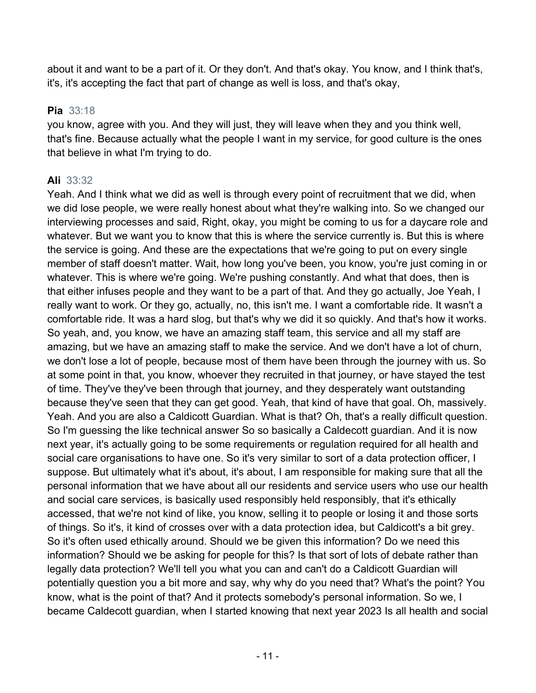about it and want to be a part of it. Or they don't. And that's okay. You know, and I think that's, it's, it's accepting the fact that part of change as well is loss, and that's okay,

### **Pia** 33:18

you know, agree with you. And they will just, they will leave when they and you think well, that's fine. Because actually what the people I want in my service, for good culture is the ones that believe in what I'm trying to do.

# **Ali** 33:32

Yeah. And I think what we did as well is through every point of recruitment that we did, when we did lose people, we were really honest about what they're walking into. So we changed our interviewing processes and said, Right, okay, you might be coming to us for a daycare role and whatever. But we want you to know that this is where the service currently is. But this is where the service is going. And these are the expectations that we're going to put on every single member of staff doesn't matter. Wait, how long you've been, you know, you're just coming in or whatever. This is where we're going. We're pushing constantly. And what that does, then is that either infuses people and they want to be a part of that. And they go actually, Joe Yeah, I really want to work. Or they go, actually, no, this isn't me. I want a comfortable ride. It wasn't a comfortable ride. It was a hard slog, but that's why we did it so quickly. And that's how it works. So yeah, and, you know, we have an amazing staff team, this service and all my staff are amazing, but we have an amazing staff to make the service. And we don't have a lot of churn, we don't lose a lot of people, because most of them have been through the journey with us. So at some point in that, you know, whoever they recruited in that journey, or have stayed the test of time. They've they've been through that journey, and they desperately want outstanding because they've seen that they can get good. Yeah, that kind of have that goal. Oh, massively. Yeah. And you are also a Caldicott Guardian. What is that? Oh, that's a really difficult question. So I'm guessing the like technical answer So so basically a Caldecott guardian. And it is now next year, it's actually going to be some requirements or regulation required for all health and social care organisations to have one. So it's very similar to sort of a data protection officer, I suppose. But ultimately what it's about, it's about, I am responsible for making sure that all the personal information that we have about all our residents and service users who use our health and social care services, is basically used responsibly held responsibly, that it's ethically accessed, that we're not kind of like, you know, selling it to people or losing it and those sorts of things. So it's, it kind of crosses over with a data protection idea, but Caldicott's a bit grey. So it's often used ethically around. Should we be given this information? Do we need this information? Should we be asking for people for this? Is that sort of lots of debate rather than legally data protection? We'll tell you what you can and can't do a Caldicott Guardian will potentially question you a bit more and say, why why do you need that? What's the point? You know, what is the point of that? And it protects somebody's personal information. So we, I became Caldecott guardian, when I started knowing that next year 2023 Is all health and social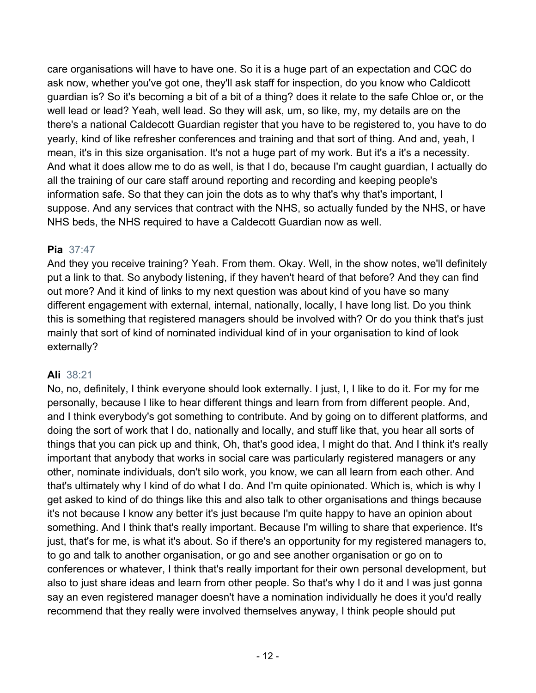care organisations will have to have one. So it is a huge part of an expectation and CQC do ask now, whether you've got one, they'll ask staff for inspection, do you know who Caldicott guardian is? So it's becoming a bit of a bit of a thing? does it relate to the safe Chloe or, or the well lead or lead? Yeah, well lead. So they will ask, um, so like, my, my details are on the there's a national Caldecott Guardian register that you have to be registered to, you have to do yearly, kind of like refresher conferences and training and that sort of thing. And and, yeah, I mean, it's in this size organisation. It's not a huge part of my work. But it's a it's a necessity. And what it does allow me to do as well, is that I do, because I'm caught guardian, I actually do all the training of our care staff around reporting and recording and keeping people's information safe. So that they can join the dots as to why that's why that's important, I suppose. And any services that contract with the NHS, so actually funded by the NHS, or have NHS beds, the NHS required to have a Caldecott Guardian now as well.

# **Pia** 37:47

And they you receive training? Yeah. From them. Okay. Well, in the show notes, we'll definitely put a link to that. So anybody listening, if they haven't heard of that before? And they can find out more? And it kind of links to my next question was about kind of you have so many different engagement with external, internal, nationally, locally, I have long list. Do you think this is something that registered managers should be involved with? Or do you think that's just mainly that sort of kind of nominated individual kind of in your organisation to kind of look externally?

# **Ali** 38:21

No, no, definitely, I think everyone should look externally. I just, I, I like to do it. For my for me personally, because I like to hear different things and learn from from different people. And, and I think everybody's got something to contribute. And by going on to different platforms, and doing the sort of work that I do, nationally and locally, and stuff like that, you hear all sorts of things that you can pick up and think, Oh, that's good idea, I might do that. And I think it's really important that anybody that works in social care was particularly registered managers or any other, nominate individuals, don't silo work, you know, we can all learn from each other. And that's ultimately why I kind of do what I do. And I'm quite opinionated. Which is, which is why I get asked to kind of do things like this and also talk to other organisations and things because it's not because I know any better it's just because I'm quite happy to have an opinion about something. And I think that's really important. Because I'm willing to share that experience. It's just, that's for me, is what it's about. So if there's an opportunity for my registered managers to, to go and talk to another organisation, or go and see another organisation or go on to conferences or whatever, I think that's really important for their own personal development, but also to just share ideas and learn from other people. So that's why I do it and I was just gonna say an even registered manager doesn't have a nomination individually he does it you'd really recommend that they really were involved themselves anyway, I think people should put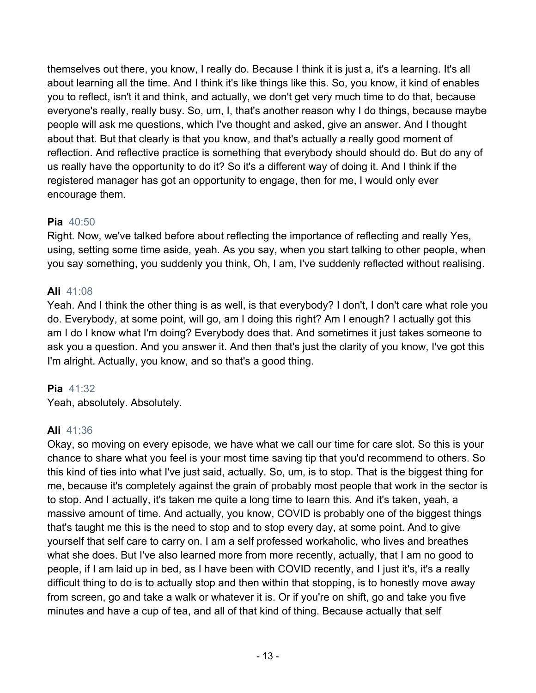themselves out there, you know, I really do. Because I think it is just a, it's a learning. It's all about learning all the time. And I think it's like things like this. So, you know, it kind of enables you to reflect, isn't it and think, and actually, we don't get very much time to do that, because everyone's really, really busy. So, um, I, that's another reason why I do things, because maybe people will ask me questions, which I've thought and asked, give an answer. And I thought about that. But that clearly is that you know, and that's actually a really good moment of reflection. And reflective practice is something that everybody should should do. But do any of us really have the opportunity to do it? So it's a different way of doing it. And I think if the registered manager has got an opportunity to engage, then for me, I would only ever encourage them.

# **Pia** 40:50

Right. Now, we've talked before about reflecting the importance of reflecting and really Yes, using, setting some time aside, yeah. As you say, when you start talking to other people, when you say something, you suddenly you think, Oh, I am, I've suddenly reflected without realising.

# **Ali** 41:08

Yeah. And I think the other thing is as well, is that everybody? I don't, I don't care what role you do. Everybody, at some point, will go, am I doing this right? Am I enough? I actually got this am I do I know what I'm doing? Everybody does that. And sometimes it just takes someone to ask you a question. And you answer it. And then that's just the clarity of you know, I've got this I'm alright. Actually, you know, and so that's a good thing.

# **Pia** 41:32

Yeah, absolutely. Absolutely.

# **Ali** 41:36

Okay, so moving on every episode, we have what we call our time for care slot. So this is your chance to share what you feel is your most time saving tip that you'd recommend to others. So this kind of ties into what I've just said, actually. So, um, is to stop. That is the biggest thing for me, because it's completely against the grain of probably most people that work in the sector is to stop. And I actually, it's taken me quite a long time to learn this. And it's taken, yeah, a massive amount of time. And actually, you know, COVID is probably one of the biggest things that's taught me this is the need to stop and to stop every day, at some point. And to give yourself that self care to carry on. I am a self professed workaholic, who lives and breathes what she does. But I've also learned more from more recently, actually, that I am no good to people, if I am laid up in bed, as I have been with COVID recently, and I just it's, it's a really difficult thing to do is to actually stop and then within that stopping, is to honestly move away from screen, go and take a walk or whatever it is. Or if you're on shift, go and take you five minutes and have a cup of tea, and all of that kind of thing. Because actually that self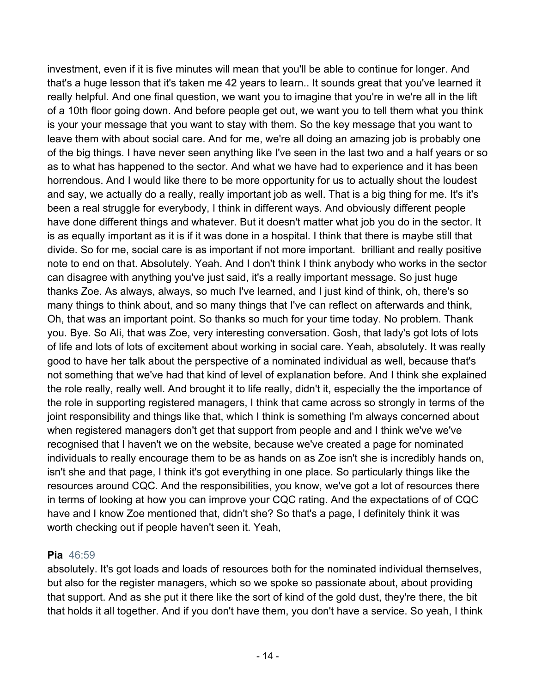investment, even if it is five minutes will mean that you'll be able to continue for longer. And that's a huge lesson that it's taken me 42 years to learn.. It sounds great that you've learned it really helpful. And one final question, we want you to imagine that you're in we're all in the lift of a 10th floor going down. And before people get out, we want you to tell them what you think is your your message that you want to stay with them. So the key message that you want to leave them with about social care. And for me, we're all doing an amazing job is probably one of the big things. I have never seen anything like I've seen in the last two and a half years or so as to what has happened to the sector. And what we have had to experience and it has been horrendous. And I would like there to be more opportunity for us to actually shout the loudest and say, we actually do a really, really important job as well. That is a big thing for me. It's it's been a real struggle for everybody, I think in different ways. And obviously different people have done different things and whatever. But it doesn't matter what job you do in the sector. It is as equally important as it is if it was done in a hospital. I think that there is maybe still that divide. So for me, social care is as important if not more important. brilliant and really positive note to end on that. Absolutely. Yeah. And I don't think I think anybody who works in the sector can disagree with anything you've just said, it's a really important message. So just huge thanks Zoe. As always, always, so much I've learned, and I just kind of think, oh, there's so many things to think about, and so many things that I've can reflect on afterwards and think, Oh, that was an important point. So thanks so much for your time today. No problem. Thank you. Bye. So Ali, that was Zoe, very interesting conversation. Gosh, that lady's got lots of lots of life and lots of lots of excitement about working in social care. Yeah, absolutely. It was really good to have her talk about the perspective of a nominated individual as well, because that's not something that we've had that kind of level of explanation before. And I think she explained the role really, really well. And brought it to life really, didn't it, especially the the importance of the role in supporting registered managers, I think that came across so strongly in terms of the joint responsibility and things like that, which I think is something I'm always concerned about when registered managers don't get that support from people and and I think we've we've recognised that I haven't we on the website, because we've created a page for nominated individuals to really encourage them to be as hands on as Zoe isn't she is incredibly hands on, isn't she and that page, I think it's got everything in one place. So particularly things like the resources around CQC. And the responsibilities, you know, we've got a lot of resources there in terms of looking at how you can improve your CQC rating. And the expectations of of CQC have and I know Zoe mentioned that, didn't she? So that's a page, I definitely think it was worth checking out if people haven't seen it. Yeah,

### **Pia** 46:59

absolutely. It's got loads and loads of resources both for the nominated individual themselves, but also for the register managers, which so we spoke so passionate about, about providing that support. And as she put it there like the sort of kind of the gold dust, they're there, the bit that holds it all together. And if you don't have them, you don't have a service. So yeah, I think